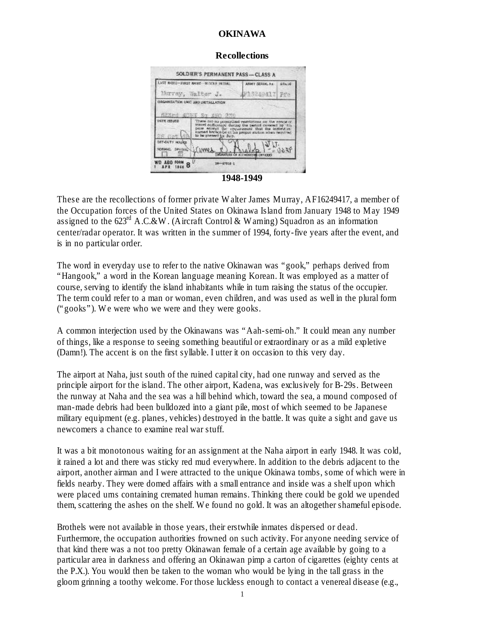#### **OKINAWA**

#### **Recollections**

| LAST NAME-FIRST NAME - MIDDLE IN TIME<br>Murray, Walter J. |                                                                                                                                                                                                                                                    | ARMY SERIAL No.<br>F13249417 Ffo | <b>GRADE</b> |
|------------------------------------------------------------|----------------------------------------------------------------------------------------------------------------------------------------------------------------------------------------------------------------------------------------------------|----------------------------------|--------------|
|                                                            |                                                                                                                                                                                                                                                    |                                  |              |
|                                                            | SESPI ALON ST APR 270                                                                                                                                                                                                                              |                                  |              |
| DATE ISSUED                                                | Town are no proscribed evenintinos on the range of<br>travel outlionable during the period crowned by this<br>people except the requirement that the individual<br>curred hereon be of his proper station when required<br>to he present for duty. |                                  |              |
|                                                            |                                                                                                                                                                                                                                                    |                                  |              |

**1948-1949**

These are the recollections of former private Walter James Murray, AF16249417, a member of the Occupation forces of the United States on Okinawa Island from January 1948 to May 1949 assigned to the  $623<sup>rd</sup>$  A.C.&W. (Aircraft Control & Warning) Squadron as an information center/radar operator. It was written in the summer of 1994, forty-five years after the event, and is in no particular order.

The word in everyday use to refer to the native Okinawan was "gook," perhaps derived from "Hangook," a word in the Korean language meaning Korean. It was employed as a matter of course, serving to identify the island inhabitants while in turn raising the status of the occupier. The term could refer to a man or woman, even children, and was used as well in the plural form ("gooks"). We were who we were and they were gooks.

A common interjection used by the Okinawans was "Aah-semi-oh." It could mean any number of things, like a response to seeing something beautiful or extraordinary or as a mild expletive (Damn!). The accent is on the first syllable. I utter it on occasion to this very day.

The airport at Naha, just south of the ruined capital city, had one runway and served as the principle airport for the island. The other airport, Kadena, was exclusively for B-29s. Between the runway at Naha and the sea was a hill behind which, toward the sea, a mound composed of man-made debris had been bulldozed into a giant pile, most of which seemed to be Japanese military equipment (e.g. planes, vehicles) destroyed in the battle. It was quite a sight and gave us newcomers a chance to examine real war stuff.

It was a bit monotonous waiting for an assignment at the Naha airport in early 1948. It was cold, it rained a lot and there was sticky red mud everywhere. In addition to the debris adjacent to the airport, another airman and I were attracted to the unique Okinawa tombs, some of which were in fields nearby. They were domed affairs with a small entrance and inside was a shelf upon which were placed urns containing cremated human remains. Thinking there could be gold we upended them, scattering the ashes on the shelf. We found no gold. It was an altogether shameful episode.

Brothels were not available in those years, their erstwhile inmates dispersed or dead. Furthermore, the occupation authorities frowned on such activity. For anyone needing service of that kind there was a not too pretty Okinawan female of a certain age available by going to a particular area in darkness and offering an Okinawan pimp a carton of cigarettes (eighty cents at the P.X.). You would then be taken to the woman who would be lying in the tall grass in the gloom grinning a toothy welcome. For those luckless enough to contact a venereal disease (e.g.,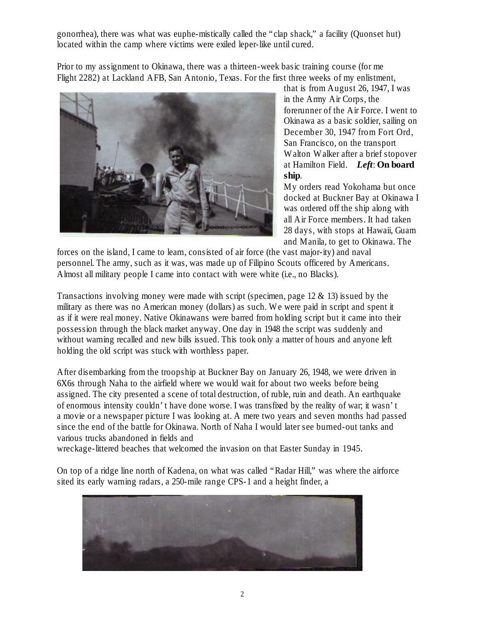gonorrhea), there was what was euphe-mistically called the "clap shack," a facility (Quonset hut) located within the camp where victims were exiled leper-like until cured.

Prior to my assignment to Okinawa, there was a thirteen-week basic training course (for me Flight 2282) at Lackland AFB, San Antonio, Texas. For the first three weeks of my enlistment,



that is from August 26, 1947, I was in the Army Air Corps, the forerunner of the Air Force. I went to Okinawa as a basic soldier, sailing on December 30, 1947 from Fort Ord, San Francisco, on the transport Walton Walker after a brief stopover at Hamilton Field. *Left*: **On board ship**.

My orders read Yokohama but once docked at Buckner Bay at Okinawa I was ordered off the ship along with all Air Force members. It had taken 28 days, with stops at Hawaii, Guam and Manila, to get to Okinawa. The

forces on the island, I came to learn, consisted of air force (the vast major-ity) and naval personnel. The army, such as it was, was made up of Filipino Scouts officered by Americans. Almost all military people I came into contact with were white (i.e., no Blacks).

Transactions involving money were made with script (specimen, page  $12 \& 13$ ) issued by the military as there was no American money (dollars) as such. We were paid in script and spent it as if it were real money. Native Okinawans were barred from holding script but it came into their possession through the black market anyway. One day in 1948 the script was suddenly and without warning recalled and new bills issued. This took only a matter of hours and anyone left holding the old script was stuck with worthless paper.

After disembarking from the troopship at Buckner Bay on January 26, 1948, we were driven in 6X6s through Naha to the airfield where we would wait for about two weeks before being assigned. The city presented a scene of total destruction, of ruble, ruin and death. An earthquake of enormous intensity couldn't have done worse. I was transfixed by the reality of war; it wasn't a movie or a newspaper picture I was looking at. A mere two years and seven months had passed since the end of the battle for Okinawa. North of Naha I would later see burned-out tanks and various trucks abandoned in fields and

wreckage-littered beaches that welcomed the invasion on that Easter Sunday in 1945.

On top of a ridge line north of Kadena, on what was called "Radar Hill," was where the airforce sited its early warning radars, a 250-mile range CPS-1 and a height finder, a

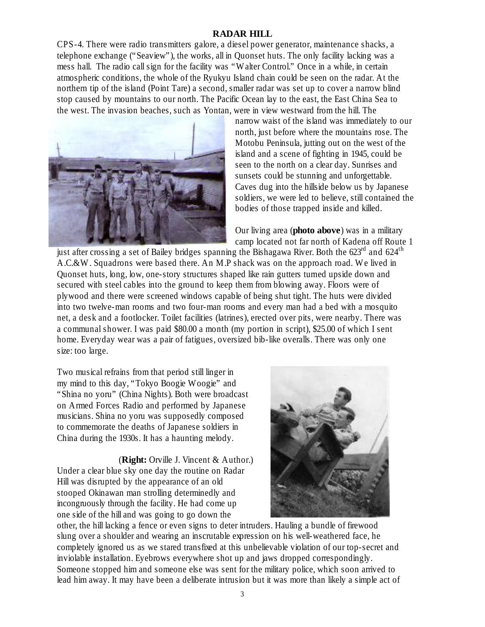## **RADAR HILL**

CPS-4. There were radio transmitters galore, a diesel power generator, maintenance shacks, a telephone exchange ("Seaview"), the works, all in Quonset huts. The only facility lacking was a mess hall. The radio call sign for the facility was "Walter Control." Once in a while, in certain atmospheric conditions, the whole of the Ryukyu Island chain could be seen on the radar. At the northern tip of the island (Point Tare) a second, smaller radar was set up to cover a narrow blind stop caused by mountains to our north. The Pacific Ocean lay to the east, the East China Sea to the west. The invasion beaches, such as Yontan, were in view westward from the hill. The



narrow waist of the island was immediately to our north, just before where the mountains rose. The Motobu Peninsula, jutting out on the west of the island and a scene of fighting in 1945, could be seen to the north on a clear day. Sunrises and sunsets could be stunning and unforgettable. Caves dug into the hillside below us by Japanese soldiers, we were led to believe, still contained the bodies of those trapped inside and killed.

Our living area (**photo above**) was in a military camp located not far north of Kadena off Route 1

just after crossing a set of Bailey bridges spanning the Bishagawa River. Both the 623<sup>rd</sup> and 624<sup>th</sup> A.C.&W. Squadrons were based there. An M.P shack was on the approach road. We lived in Quonset huts, long, low, one-story structures shaped like rain gutters turned upside down and secured with steel cables into the ground to keep them from blowing away. Floors were of plywood and there were screened windows capable of being shut tight. The huts were divided into two twelve-man rooms and two four-man rooms and every man had a bed with a mosquito net, a desk and a footlocker. Toilet facilities (latrines), erected over pits, were nearby. There was a communal shower. I was paid \$80.00 a month (my portion in script), \$25.00 of which I sent home. Everyday wear was a pair of fatigues, oversized bib-like overalls. There was only one size: too large.

Two musical refrains from that period still linger in my mind to this day, "Tokyo Boogie Woogie" and "Shina no yoru" (China Nights). Both were broadcast on Armed Forces Radio and performed by Japanese musicians. Shina no yoru was supposedly composed to commemorate the deaths of Japanese soldiers in China during the 1930s. It has a haunting melody.

 (**Right:** Orville J. Vincent & Author.) Under a clear blue sky one day the routine on Radar Hill was disrupted by the appearance of an old stooped Okinawan man strolling determinedly and incongruously through the facility. He had come up one side of the hill and was going to go down the



other, the hill lacking a fence or even signs to deter intruders. Hauling a bundle of firewood slung over a shoulder and wearing an inscrutable expression on his well-weathered face, he completely ignored us as we stared transfixed at this unbelievable violation of our top-secret and inviolable installation. Eyebrows everywhere shot up and jaws dropped correspondingly. Someone stopped him and someone else was sent for the military police, which soon arrived to lead him away. It may have been a deliberate intrusion but it was more than likely a simple act of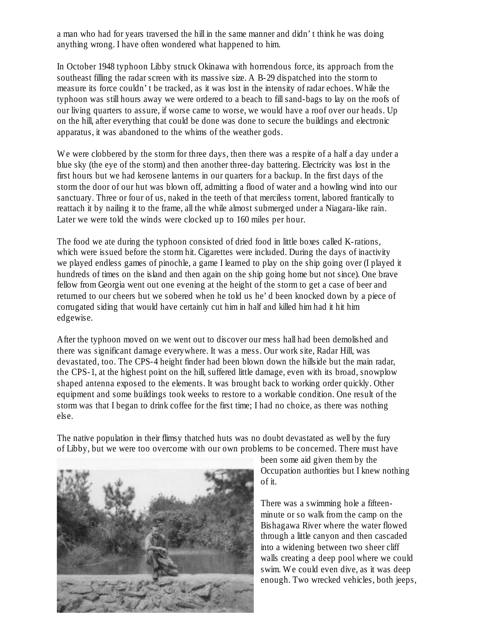a man who had for years traversed the hill in the same manner and didn't think he was doing anything wrong. I have often wondered what happened to him.

In October 1948 typhoon Libby struck Okinawa with horrendous force, its approach from the southeast filling the radar screen with its massive size. A B-29 dispatched into the storm to measure its force couldn't be tracked, as it was lost in the intensity of radar echoes. While the typhoon was still hours away we were ordered to a beach to fill sand-bags to lay on the roofs of our living quarters to assure, if worse came to worse, we would have a roof over our heads. Up on the hill, after everything that could be done was done to secure the buildings and electronic apparatus, it was abandoned to the whims of the weather gods.

We were clobbered by the storm for three days, then there was a respite of a half a day under a blue sky (the eye of the storm) and then another three-day battering. Electricity was lost in the first hours but we had kerosene lanterns in our quarters for a backup. In the first days of the storm the door of our hut was blown off, admitting a flood of water and a howling wind into our sanctuary. Three or four of us, naked in the teeth of that merciless torrent, labored frantically to reattach it by nailing it to the frame, all the while almost submerged under a Niagara-like rain. Later we were told the winds were clocked up to 160 miles per hour.

The food we ate during the typhoon consisted of dried food in little boxes called K-rations, which were issued before the storm hit. Cigarettes were included. During the days of inactivity we played endless games of pinochle, a game I learned to play on the ship going over (I played it hundreds of times on the island and then again on the ship going home but not since). One brave fellow from Georgia went out one evening at the height of the storm to get a case of beer and returned to our cheers but we sobered when he told us he'd been knocked down by a piece of corrugated siding that would have certainly cut him in half and killed him had it hit him edgewise.

After the typhoon moved on we went out to discover our mess hall had been demolished and there was significant damage everywhere. It was a mess. Our work site, Radar Hill, was devastated, too. The CPS-4 height finder had been blown down the hillside but the main radar, the CPS-1, at the highest point on the hill, suffered little damage, even with its broad, snowplow shaped antenna exposed to the elements. It was brought back to working order quickly. Other equipment and some buildings took weeks to restore to a workable condition. One result of the storm was that I began to drink coffee for the first time; I had no choice, as there was nothing else.

The native population in their flimsy thatched huts was no doubt devastated as well by the fury of Libby, but we were too overcome with our own problems to be concerned. There must have



been some aid given them by the Occupation authorities but I knew nothing of it.

There was a swimming hole a fifteenminute or so walk from the camp on the Bishagawa River where the water flowed through a little canyon and then cascaded into a widening between two sheer cliff walls creating a deep pool where we could swim. We could even dive, as it was deep enough. Two wrecked vehicles, both jeeps,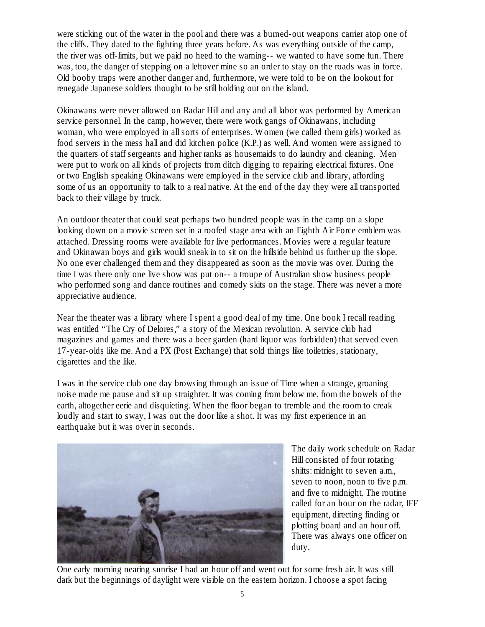were sticking out of the water in the pool and there was a burned-out weapons carrier atop one of the cliffs. They dated to the fighting three years before. As was everything outside of the camp, the river was off-limits, but we paid no heed to the warning-- we wanted to have some fun. There was, too, the danger of stepping on a leftover mine so an order to stay on the roads was in force. Old booby traps were another danger and, furthermore, we were told to be on the lookout for renegade Japanese soldiers thought to be still holding out on the island.

Okinawans were never allowed on Radar Hill and any and all labor was performed by American service personnel. In the camp, however, there were work gangs of Okinawans, including woman, who were employed in all sorts of enterprises. Women (we called them girls) worked as food servers in the mess hall and did kitchen police (K.P.) as well. And women were assigned to the quarters of staff sergeants and higher ranks as housemaids to do laundry and cleaning. Men were put to work on all kinds of projects from ditch digging to repairing electrical fixtures. One or two English speaking Okinawans were employed in the service club and library, affording some of us an opportunity to talk to a real native. At the end of the day they were all transported back to their village by truck.

An outdoor theater that could seat perhaps two hundred people was in the camp on a slope looking down on a movie screen set in a roofed stage area with an Eighth Air Force emblem was attached. Dressing rooms were available for live performances. Movies were a regular feature and Okinawan boys and girls would sneak in to sit on the hillside behind us further up the slope. No one ever challenged them and they disappeared as soon as the movie was over. During the time I was there only one live show was put on-- a troupe of Australian show business people who performed song and dance routines and comedy skits on the stage. There was never a more appreciative audience.

Near the theater was a library where I spent a good deal of my time. One book I recall reading was entitled "The Cry of Delores," a story of the Mexican revolution. A service club had magazines and games and there was a beer garden (hard liquor was forbidden) that served even 17-year-olds like me. And a PX (Post Exchange) that sold things like toiletries, stationary, cigarettes and the like.

I was in the service club one day browsing through an issue of Time when a strange, groaning noise made me pause and sit up straighter. It was coming from below me, from the bowels of the earth, altogether eerie and disquieting. When the floor began to tremble and the room to creak loudly and start to sway, I was out the door like a shot. It was my first experience in an earthquake but it was over in seconds.



The daily work schedule on Radar Hill consisted of four rotating shifts: midnight to seven a.m., seven to noon, noon to five p.m. and five to midnight. The routine called for an hour on the radar, IFF equipment, directing finding or plotting board and an hour off. There was always one officer on duty.

One early morning nearing sunrise I had an hour off and went out for some fresh air. It was still dark but the beginnings of daylight were visible on the eastern horizon. I choose a spot facing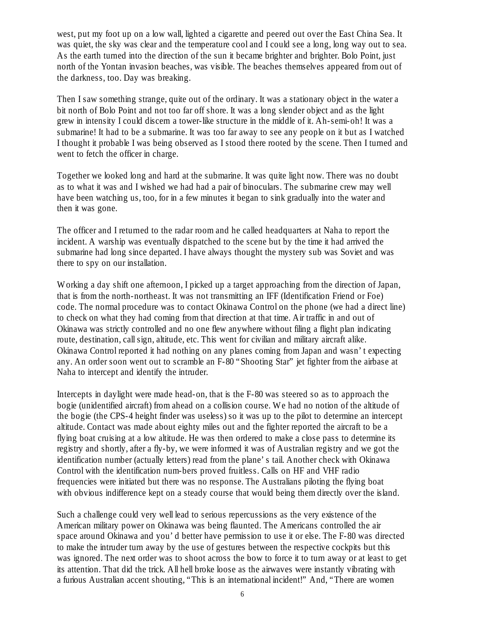west, put my foot up on a low wall, lighted a cigarette and peered out over the East China Sea. It was quiet, the sky was clear and the temperature cool and I could see a long, long way out to sea. As the earth turned into the direction of the sun it became brighter and brighter. Bolo Point, just north of the Yontan invasion beaches, was visible. The beaches themselves appeared from out of the darkness, too. Day was breaking.

Then I saw something strange, quite out of the ordinary. It was a stationary object in the water a bit north of Bolo Point and not too far off shore. It was a long slender object and as the light grew in intensity I could discern a tower-like structure in the middle of it. Ah-semi-oh! It was a submarine! It had to be a submarine. It was too far away to see any people on it but as I watched I thought it probable I was being observed as I stood there rooted by the scene. Then I turned and went to fetch the officer in charge.

Together we looked long and hard at the submarine. It was quite light now. There was no doubt as to what it was and I wished we had had a pair of binoculars. The submarine crew may well have been watching us, too, for in a few minutes it began to sink gradually into the water and then it was gone.

The officer and I returned to the radar room and he called headquarters at Naha to report the incident. A warship was eventually dispatched to the scene but by the time it had arrived the submarine had long since departed. I have always thought the mystery sub was Soviet and was there to spy on our installation.

Working a day shift one afternoon, I picked up a target approaching from the direction of Japan, that is from the north-northeast. It was not transmitting an IFF (Identification Friend or Foe) code. The normal procedure was to contact Okinawa Control on the phone (we had a direct line) to check on what they had coming from that direction at that time. Air traffic in and out of Okinawa was strictly controlled and no one flew anywhere without filing a flight plan indicating route, destination, call sign, altitude, etc. This went for civilian and military aircraft alike. Okinawa Control reported it had nothing on any planes coming from Japan and wasn't expecting any. An order soon went out to scramble an F-80 "Shooting Star" jet fighter from the airbase at Naha to intercept and identify the intruder.

Intercepts in daylight were made head-on, that is the F-80 was steered so as to approach the bogie (unidentified aircraft) from ahead on a collision course. We had no notion of the altitude of the bogie (the CPS-4 height finder was useless) so it was up to the pilot to determine an intercept altitude. Contact was made about eighty miles out and the fighter reported the aircraft to be a flying boat cruising at a low altitude. He was then ordered to make a close pass to determine its registry and shortly, after a fly-by, we were informed it was of Australian registry and we got the identification number (actually letters) read from the plane's tail. Another check with Okinawa Control with the identification num-bers proved fruitless. Calls on HF and VHF radio frequencies were initiated but there was no response. The Australians piloting the flying boat with obvious indifference kept on a steady course that would being them directly over the island.

Such a challenge could very well lead to serious repercussions as the very existence of the American military power on Okinawa was being flaunted. The Americans controlled the air space around Okinawa and you'd better have permission to use it or else. The F-80 was directed to make the intruder turn away by the use of gestures between the respective cockpits but this was ignored. The next order was to shoot across the bow to force it to turn away or at least to get its attention. That did the trick. All hell broke loose as the airwaves were instantly vibrating with a furious Australian accent shouting, "This is an international incident!" And, "There are women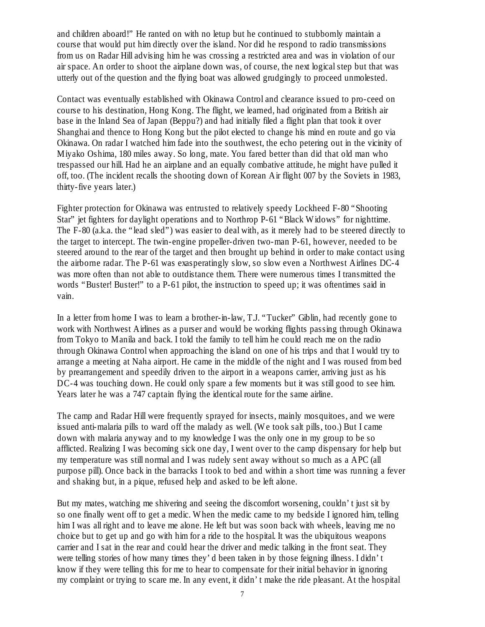and children aboard!" He ranted on with no letup but he continued to stubbornly maintain a course that would put him directly over the island. Nor did he respond to radio transmissions from us on Radar Hill advising him he was crossing a restricted area and was in violation of our air space. An order to shoot the airplane down was, of course, the next logical step but that was utterly out of the question and the flying boat was allowed grudgingly to proceed unmolested.

Contact was eventually established with Okinawa Control and clearance issued to pro-ceed on course to his destination, Hong Kong. The flight, we learned, had originated from a British air base in the Inland Sea of Japan (Beppu?) and had initially filed a flight plan that took it over Shanghai and thence to Hong Kong but the pilot elected to change his mind en route and go via Okinawa. On radar I watched him fade into the southwest, the echo petering out in the vicinity of Miyako Oshima, 180 miles away. So long, mate. You fared better than did that old man who trespassed our hill. Had he an airplane and an equally combative attitude, he might have pulled it off, too. (The incident recalls the shooting down of Korean Air flight 007 by the Soviets in 1983, thirty-five years later.)

Fighter protection for Okinawa was entrusted to relatively speedy Lockheed F-80 "Shooting Star" jet fighters for daylight operations and to Northrop P-61 "Black Widows" for nighttime. The F-80 (a.k.a. the "lead sled") was easier to deal with, as it merely had to be steered directly to the target to intercept. The twin-engine propeller-driven two-man P-61, however, needed to be steered around to the rear of the target and then brought up behind in order to make contact using the airborne radar. The P-61 was exasperatingly slow, so slow even a Northwest Airlines DC-4 was more often than not able to outdistance them. There were numerous times I transmitted the words "Buster! Buster!" to a P-61 pilot, the instruction to speed up; it was oftentimes said in vain.

In a letter from home I was to learn a brother-in-law, T.J. "Tucker" Giblin, had recently gone to work with Northwest Airlines as a purser and would be working flights passing through Okinawa from Tokyo to Manila and back. I told the family to tell him he could reach me on the radio through Okinawa Control when approaching the island on one of his trips and that I would try to arrange a meeting at Naha airport. He came in the middle of the night and I was roused from bed by prearrangement and speedily driven to the airport in a weapons carrier, arriving just as his DC-4 was touching down. He could only spare a few moments but it was still good to see him. Years later he was a 747 captain flying the identical route for the same airline.

The camp and Radar Hill were frequently sprayed for insects, mainly mosquitoes, and we were issued anti-malaria pills to ward off the malady as well. (We took salt pills, too.) But I came down with malaria anyway and to my knowledge I was the only one in my group to be so afflicted. Realizing I was becoming sick one day, I went over to the camp dispensary for help but my temperature was still normal and I was rudely sent away without so much as a APC (all purpose pill). Once back in the barracks I took to bed and within a short time was running a fever and shaking but, in a pique, refused help and asked to be left alone.

But my mates, watching me shivering and seeing the discomfort worsening, couldn't just sit by so one finally went off to get a medic. When the medic came to my bedside I ignored him, telling him I was all right and to leave me alone. He left but was soon back with wheels, leaving me no choice but to get up and go with him for a ride to the hospital. It was the ubiquitous weapons carrier and I sat in the rear and could hear the driver and medic talking in the front seat. They were telling stories of how many times they'd been taken in by those feigning illness. I didn't know if they were telling this for me to hear to compensate for their initial behavior in ignoring my complaint or trying to scare me. In any event, it didn't make the ride pleasant. At the hospital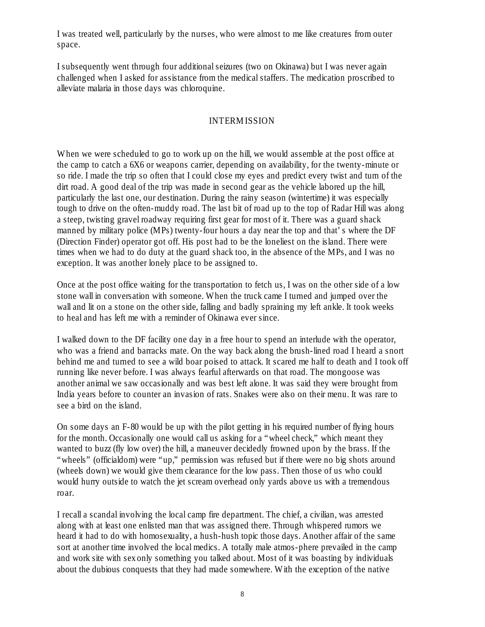I was treated well, particularly by the nurses, who were almost to me like creatures from outer space.

I subsequently went through four additional seizures (two on Okinawa) but I was never again challenged when I asked for assistance from the medical staffers. The medication proscribed to alleviate malaria in those days was chloroquine.

## INTERMISSION

When we were scheduled to go to work up on the hill, we would assemble at the post office at the camp to catch a 6X6 or weapons carrier, depending on availability, for the twenty-minute or so ride. I made the trip so often that I could close my eyes and predict every twist and turn of the dirt road. A good deal of the trip was made in second gear as the vehicle labored up the hill, particularly the last one, our destination. During the rainy season (wintertime) it was especially tough to drive on the often-muddy road. The last bit of road up to the top of Radar Hill was along a steep, twisting gravel roadway requiring first gear for most of it. There was a guard shack manned by military police (MPs) twenty-four hours a day near the top and that's where the DF (Direction Finder) operator got off. His post had to be the loneliest on the island. There were times when we had to do duty at the guard shack too, in the absence of the MPs, and I was no exception. It was another lonely place to be assigned to.

Once at the post office waiting for the transportation to fetch us, I was on the other side of a low stone wall in conversation with someone. When the truck came I turned and jumped over the wall and lit on a stone on the other side, falling and badly spraining my left ankle. It took weeks to heal and has left me with a reminder of Okinawa ever since.

I walked down to the DF facility one day in a free hour to spend an interlude with the operator, who was a friend and barracks mate. On the way back along the brush-lined road I heard a snort behind me and turned to see a wild boar poised to attack. It scared me half to death and I took off running like never before. I was always fearful afterwards on that road. The mongoose was another animal we saw occasionally and was best left alone. It was said they were brought from India years before to counter an invasion of rats. Snakes were also on their menu. It was rare to see a bird on the island.

On some days an F-80 would be up with the pilot getting in his required number of flying hours for the month. Occasionally one would call us asking for a "wheel check," which meant they wanted to buzz (fly low over) the hill, a maneuver decidedly frowned upon by the brass. If the "wheels" (officialdom) were "up," permission was refused but if there were no big shots around (wheels down) we would give them clearance for the low pass. Then those of us who could would hurry outside to watch the jet scream overhead only yards above us with a tremendous roar.

I recall a scandal involving the local camp fire department. The chief, a civilian, was arrested along with at least one enlisted man that was assigned there. Through whispered rumors we heard it had to do with homosexuality, a hush-hush topic those days. Another affair of the same sort at another time involved the local medics. A totally male atmos-phere prevailed in the camp and work site with sex only something you talked about. Most of it was boasting by individuals about the dubious conquests that they had made somewhere. With the exception of the native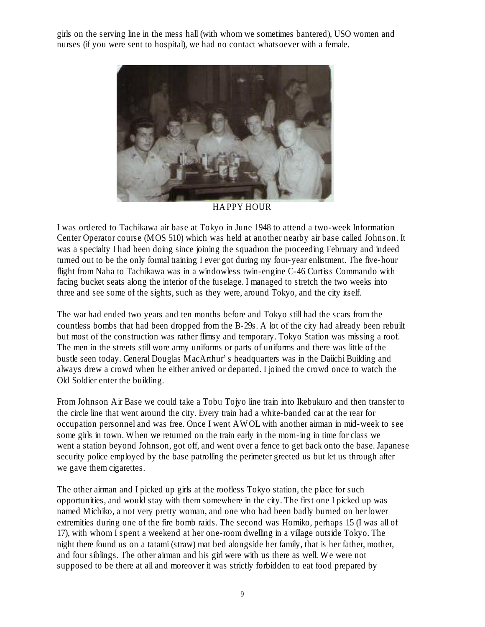girls on the serving line in the mess hall (with whom we sometimes bantered), USO women and nurses (if you were sent to hospital), we had no contact whatsoever with a female.



HAPPY HOUR

I was ordered to Tachikawa air base at Tokyo in June 1948 to attend a two-week Information Center Operator course (MOS 510) which was held at another nearby air base called Johnson. It was a specialty I had been doing since joining the squadron the proceeding February and indeed turned out to be the only formal training I ever got during my four-year enlistment. The five-hour flight from Naha to Tachikawa was in a windowless twin-engine C-46 Curtiss Commando with facing bucket seats along the interior of the fuselage. I managed to stretch the two weeks into three and see some of the sights, such as they were, around Tokyo, and the city itself.

The war had ended two years and ten months before and Tokyo still had the scars from the countless bombs that had been dropped from the B-29s. A lot of the city had already been rebuilt but most of the construction was rather flimsy and temporary. Tokyo Station was missing a roof. The men in the streets still wore army uniforms or parts of uniforms and there was little of the bustle seen today. General Douglas MacArthur's headquarters was in the Daiichi Building and always drew a crowd when he either arrived or departed. I joined the crowd once to watch the Old Soldier enter the building.

From Johnson Air Base we could take a Tobu Tojyo line train into Ikebukuro and then transfer to the circle line that went around the city. Every train had a white-banded car at the rear for occupation personnel and was free. Once I went AWOL with another airman in mid-week to see some girls in town. When we returned on the train early in the morn-ing in time for class we went a station beyond Johnson, got off, and went over a fence to get back onto the base. Japanese security police employed by the base patrolling the perimeter greeted us but let us through after we gave them cigarettes.

The other airman and I picked up girls at the roofless Tokyo station, the place for such opportunities, and would stay with them somewhere in the city. The first one I picked up was named Michiko, a not very pretty woman, and one who had been badly burned on her lower extremities during one of the fire bomb raids. The second was Homiko, perhaps 15 (I was all of 17), with whom I spent a weekend at her one-room dwelling in a village outside Tokyo. The night there found us on a tatami (straw) mat bed alongside her family, that is her father, mother, and four siblings. The other airman and his girl were with us there as well. We were not supposed to be there at all and moreover it was strictly forbidden to eat food prepared by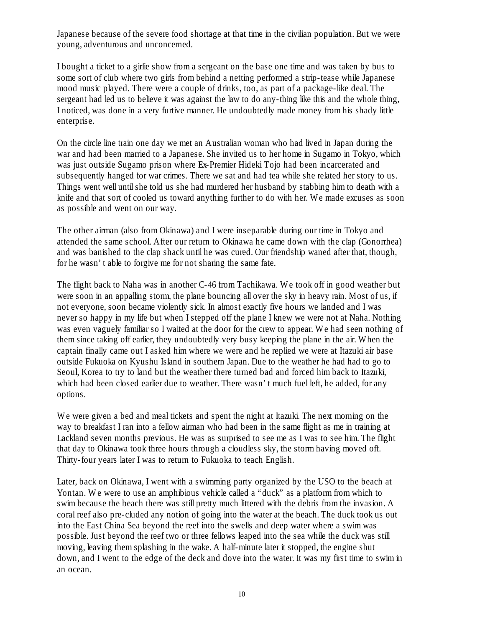Japanese because of the severe food shortage at that time in the civilian population. But we were young, adventurous and unconcerned.

I bought a ticket to a girlie show from a sergeant on the base one time and was taken by bus to some sort of club where two girls from behind a netting performed a strip-tease while Japanese mood music played. There were a couple of drinks, too, as part of a package-like deal. The sergeant had led us to believe it was against the law to do any-thing like this and the whole thing, I noticed, was done in a very furtive manner. He undoubtedly made money from his shady little enterprise.

On the circle line train one day we met an Australian woman who had lived in Japan during the war and had been married to a Japanese. She invited us to her home in Sugamo in Tokyo, which was just outside Sugamo prison where Ex-Premier Hideki Tojo had been incarcerated and subsequently hanged for war crimes. There we sat and had tea while she related her story to us. Things went well until she told us she had murdered her husband by stabbing him to death with a knife and that sort of cooled us toward anything further to do with her. We made excuses as soon as possible and went on our way.

The other airman (also from Okinawa) and I were inseparable during our time in Tokyo and attended the same school. After our return to Okinawa he came down with the clap (Gonorrhea) and was banished to the clap shack until he was cured. Our friendship waned after that, though, for he wasn't able to forgive me for not sharing the same fate.

The flight back to Naha was in another C-46 from Tachikawa. We took off in good weather but were soon in an appalling storm, the plane bouncing all over the sky in heavy rain. Most of us, if not everyone, soon became violently sick. In almost exactly five hours we landed and I was never so happy in my life but when I stepped off the plane I knew we were not at Naha. Nothing was even vaguely familiar so I waited at the door for the crew to appear. We had seen nothing of them since taking off earlier, they undoubtedly very busy keeping the plane in the air. When the captain finally came out I asked him where we were and he replied we were at Itazuki air base outside Fukuoka on Kyushu Island in southern Japan. Due to the weather he had had to go to Seoul, Korea to try to land but the weather there turned bad and forced him back to Itazuki, which had been closed earlier due to weather. There wasn't much fuel left, he added, for any options.

We were given a bed and meal tickets and spent the night at Itazuki. The next morning on the way to breakfast I ran into a fellow airman who had been in the same flight as me in training at Lackland seven months previous. He was as surprised to see me as I was to see him. The flight that day to Okinawa took three hours through a cloudless sky, the storm having moved off. Thirty-four years later I was to return to Fukuoka to teach English.

Later, back on Okinawa, I went with a swimming party organized by the USO to the beach at Yontan. We were to use an amphibious vehicle called a "duck" as a platform from which to swim because the beach there was still pretty much littered with the debris from the invasion. A coral reef also pre-cluded any notion of going into the water at the beach. The duck took us out into the East China Sea beyond the reef into the swells and deep water where a swim was possible. Just beyond the reef two or three fellows leaped into the sea while the duck was still moving, leaving them splashing in the wake. A half-minute later it stopped, the engine shut down, and I went to the edge of the deck and dove into the water. It was my first time to swim in an ocean.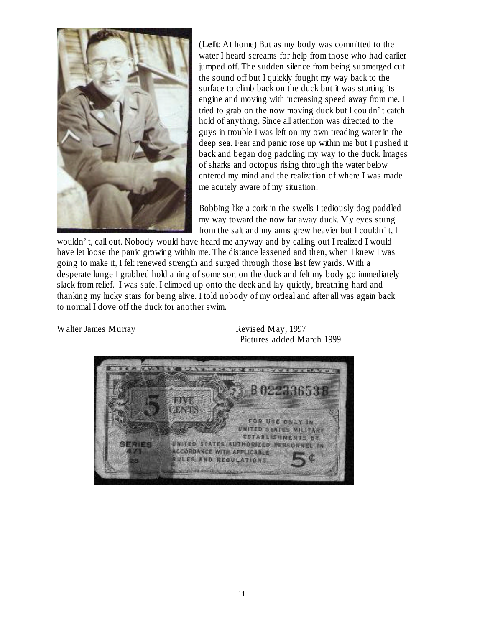

(**Left**: At home) But as my body was committed to the water I heard screams for help from those who had earlier jumped off. The sudden silence from being submerged cut the sound off but I quickly fought my way back to the surface to climb back on the duck but it was starting its engine and moving with increasing speed away from me. I tried to grab on the now moving duck but I couldn't catch hold of anything. Since all attention was directed to the guys in trouble I was left on my own treading water in the deep sea. Fear and panic rose up within me but I pushed it back and began dog paddling my way to the duck. Images of sharks and octopus rising through the water below entered my mind and the realization of where I was made me acutely aware of my situation.

Bobbing like a cork in the swells I tediously dog paddled my way toward the now far away duck. My eyes stung from the salt and my arms grew heavier but I couldn't, I

wouldn't, call out. Nobody would have heard me anyway and by calling out I realized I would have let loose the panic growing within me. The distance lessened and then, when I knew I was going to make it, I felt renewed strength and surged through those last few yards. With a desperate lunge I grabbed hold a ring of some sort on the duck and felt my body go immediately slack from relief. I was safe. I climbed up onto the deck and lay quietly, breathing hard and thanking my lucky stars for being alive. I told nobody of my ordeal and after all was again back to normal I dove off the duck for another swim.

Walter James Murray Revised May, 1997

Pictures added March 1999

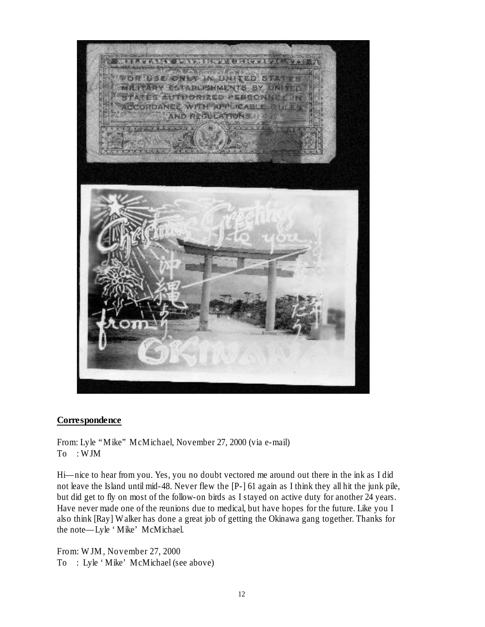

## **Correspondence**

From: Lyle "Mike" McMichael, November 27, 2000 (via e-mail) To : WJM

Hi— nice to hear from you. Yes, you no doubt vectored me around out there in the ink as I did not leave the Island until mid-48. Never flew the [P-] 61 again as I think they all hit the junk pile, but did get to fly on most of the follow-on birds as I stayed on active duty for another 24 years. Have never made one of the reunions due to medical, but have hopes for the future. Like you I also think [Ray] Walker has done a great job of getting the Okinawa gang together. Thanks for the note—Lyle 'Mike' McMichael.

From: WJM, November 27, 2000 To : Lyle 'Mike' McMichael (see above)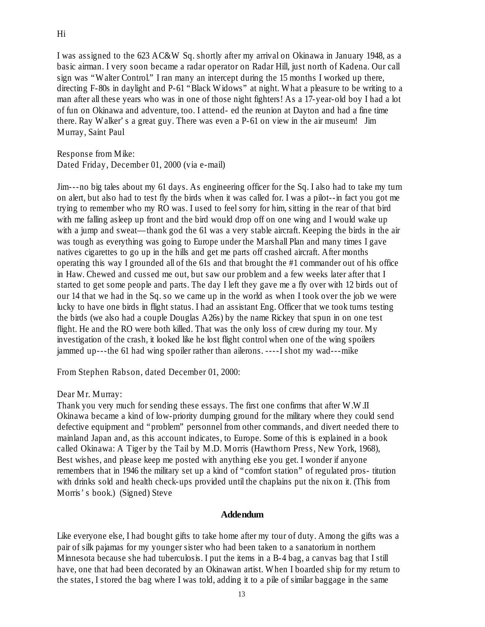I was assigned to the 623 AC&W Sq. shortly after my arrival on Okinawa in January 1948, as a basic airman. I very soon became a radar operator on Radar Hill, just north of Kadena. Our call sign was "Walter Control." I ran many an intercept during the 15 months I worked up there, directing F-80s in daylight and P-61 "Black Widows" at night. What a pleasure to be writing to a man after all these years who was in one of those night fighters! As a 17-year-old boy I had a lot of fun on Okinawa and adventure, too. I attend- ed the reunion at Dayton and had a fine time there. Ray Walker's a great guy. There was even a P-61 on view in the air museum! Jim Murray, Saint Paul

Response from Mike: Dated Friday, December 01, 2000 (via e-mail)

Jim---no big tales about my 61 days. As engineering officer for the Sq. I also had to take my turn on alert, but also had to test fly the birds when it was called for. I was a pilot--in fact you got me trying to remember who my RO was. I used to feel sorry for him, sitting in the rear of that bird with me falling asleep up front and the bird would drop off on one wing and I would wake up with a jump and sweat—thank god the 61 was a very stable aircraft. Keeping the birds in the air was tough as everything was going to Europe under the Marshall Plan and many times I gave natives cigarettes to go up in the hills and get me parts off crashed aircraft. After months operating this way I grounded all of the 61s and that brought the #1 commander out of his office in Haw. Chewed and cussed me out, but saw our problem and a few weeks later after that I started to get some people and parts. The day I left they gave me a fly over with 12 birds out of our 14 that we had in the Sq. so we came up in the world as when I took over the job we were lucky to have one birds in flight status. I had an assistant Eng. Officer that we took turns testing the birds (we also had a couple Douglas A26s) by the name Rickey that spun in on one test flight. He and the RO were both killed. That was the only loss of crew during my tour. My investigation of the crash, it looked like he lost flight control when one of the wing spoilers jammed up---the 61 had wing spoiler rather than ailerons. ----I shot my wad---mike

From Stephen Rabson, dated December 01, 2000:

## Dear Mr. Murray:

Thank you very much for sending these essays. The first one confirms that after W.W.II Okinawa became a kind of low-priority dumping ground for the military where they could send defective equipment and "problem" personnel from other commands, and divert needed there to mainland Japan and, as this account indicates, to Europe. Some of this is explained in a book called Okinawa: A Tiger by the Tail by M.D. Morris (Hawthorn Press, New York, 1968), Best wishes, and please keep me posted with anything else you get. I wonder if anyone remembers that in 1946 the military set up a kind of "comfort station" of regulated pros- titution with drinks sold and health check-ups provided until the chaplains put the nix on it. (This from Morris's book.) (Signed) Steve

#### **Addendum**

Like everyone else, I had bought gifts to take home after my tour of duty. Among the gifts was a pair of silk pajamas for my younger sister who had been taken to a sanatorium in northern Minnesota because she had tuberculosis. I put the items in a B-4 bag, a canvas bag that I still have, one that had been decorated by an Okinawan artist. When I boarded ship for my return to the states, I stored the bag where I was told, adding it to a pile of similar baggage in the same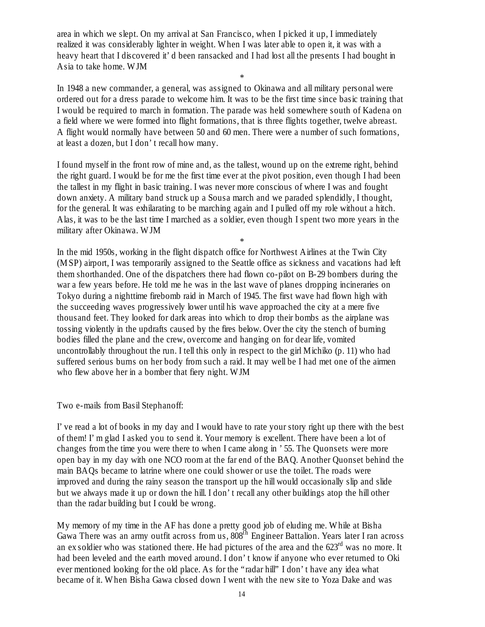area in which we slept. On my arrival at San Francisco, when I picked it up, I immediately realized it was considerably lighter in weight. When I was later able to open it, it was with a heavy heart that I discovered it' d been ransacked and I had lost all the presents I had bought in Asia to take home. WJM

\*

In 1948 a new commander, a general, was assigned to Okinawa and all military personal were ordered out for a dress parade to welcome him. It was to be the first time since basic training that I would be required to march in formation. The parade was held somewhere south of Kadena on a field where we were formed into flight formations, that is three flights together, twelve abreast. A flight would normally have between 50 and 60 men. There were a number of such formations, at least a dozen, but I don't recall how many.

I found myself in the front row of mine and, as the tallest, wound up on the extreme right, behind the right guard. I would be for me the first time ever at the pivot position, even though I had been the tallest in my flight in basic training. I was never more conscious of where I was and fought down anxiety. A military band struck up a Sousa march and we paraded splendidly, I thought, for the general. It was exhilarating to be marching again and I pulled off my role without a hitch. Alas, it was to be the last time I marched as a soldier, even though I spent two more years in the military after Okinawa. WJM

\*

In the mid 1950s, working in the flight dispatch office for Northwest Airlines at the Twin City (MSP) airport, I was temporarily assigned to the Seattle office as sickness and vacations had left them shorthanded. One of the dispatchers there had flown co-pilot on B-29 bombers during the war a few years before. He told me he was in the last wave of planes dropping incineraries on Tokyo during a nighttime firebomb raid in March of 1945. The first wave had flown high with the succeeding waves progressively lower until his wave approached the city at a mere five thousand feet. They looked for dark areas into which to drop their bombs as the airplane was tossing violently in the updrafts caused by the fires below. Over the city the stench of burning bodies filled the plane and the crew, overcome and hanging on for dear life, vomited uncontrollably throughout the run. I tell this only in respect to the girl Michiko (p. 11) who had suffered serious burns on her body from such a raid. It may well be I had met one of the airmen who flew above her in a bomber that fiery night. WJM

Two e-mails from Basil Stephanoff:

I've read a lot of books in my day and I would have to rate your story right up there with the best of them! I'm glad I asked you to send it. Your memory is excellent. There have been a lot of changes from the time you were there to when I came along in '55. The Quonsets were more open bay in my day with one NCO room at the far end of the BAQ. Another Quonset behind the main BAQs became to latrine where one could shower or use the toilet. The roads were improved and during the rainy season the transport up the hill would occasionally slip and slide but we always made it up or down the hill. I don't recall any other buildings atop the hill other than the radar building but I could be wrong.

My memory of my time in the AF has done a pretty good job of eluding me. While at Bisha Gawa There was an army outfit across from us,  $808$ <sup>th</sup> Engineer Battalion. Years later I ran across an ex soldier who was stationed there. He had pictures of the area and the  $623<sup>rd</sup>$  was no more. It had been leveled and the earth moved around. I don't know if anyone who ever returned to Oki ever mentioned looking for the old place. As for the "radar hill" I don't have any idea what became of it. When Bisha Gawa closed down I went with the new site to Yoza Dake and was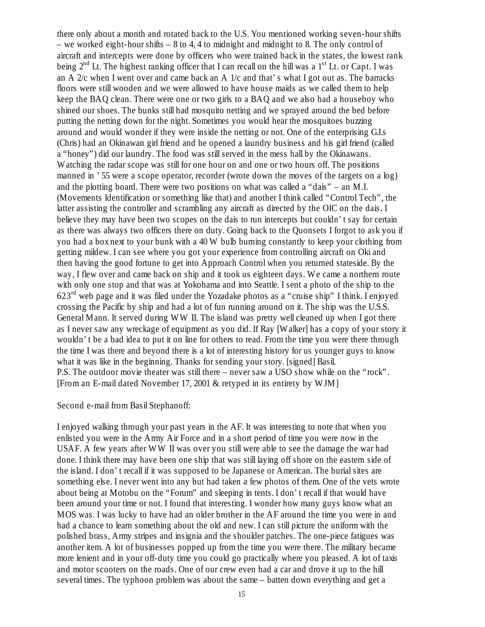there only about a month and rotated back to the U.S. You mentioned working seven-hour shifts – we worked eight-hour shifts – 8 to 4, 4 to midnight and midnight to 8. The only control of aircraft and intercepts were done by officers who were trained back in the states, the lowest rank being  $2<sup>nd</sup>$  Lt. The highest ranking officer that I can recall on the hill was a 1<sup>st</sup> Lt. or Capt. I was an A  $2/c$  when I went over and came back an A  $1/c$  and that's what I got out as. The barracks floors were still wooden and we were allowed to have house maids as we called them to help keep the BAQ clean. There were one or two girls to a BAQ and we also had a houseboy who shined our shoes. The bunks still had mosquito netting and we sprayed around the bed before putting the netting down for the night. Sometimes you would hear the mosquitoes buzzing around and would wonder if they were inside the netting or not. One of the enterprising GLs (Chris) had an Okinawan girl friend and he opened a laundry business and his girl friend (called a "honey") did our laundry. The food was still served in the mess hall by the Okinawans. Watching the radar scope was still for one hour on and one or two hours off. The positions manned in '55 were a scope operator, recorder (wrote down the moves of the targets on a log) and the plotting board. There were two positions on what was called a "dais" – an M.I. (Movements Identification or something like that) and another I think called "Control Tech", the latter assisting the controller and scrambling any aircraft as directed by the OIC on the dais. I believe they may have been two scopes on the dais to run intercepts but couldn't say for certain as there was always two officers there on duty. Going back to the Quonsets I forgot to ask you if you had a box next to your bunk with a 40 W bulb burning constantly to keep your clothing from getting mildew. I can see where you got your experience from controlling aircraft on Oki and then having the good fortune to get into Approach Control when you returned stateside. By the way, I flew over and came back on ship and it took us eighteen days. We came a northern route with only one stop and that was at Yokohama and into Seattle. I sent a photo of the ship to the  $623<sup>rd</sup>$  web page and it was filed under the Yozadake photos as a "cruise ship" I think. I enjoyed crossing the Pacific by ship and had a lot of fun running around on it. The ship was the U.S.S. General Mann. It served during WW II. The island was pretty well cleaned up when I got there as I never saw any wreckage of equipment as you did. If Ray [Walker] has a copy of your story it wouldn't be a bad idea to put it on line for others to read. From the time you were there through the time I was there and beyond there is a lot of interesting history for us younger guys to know what it was like in the beginning. Thanks for sending your story. [signed] Basil. P.S. The outdoor movie theater was still there – never saw a USO show while on the "rock". [From an E-mail dated November 17, 2001 & retyped in its entirety by WJM]

#### Second e-mail from Basil Stephanoff:

I enjoyed walking through your past years in the AF. It was interesting to note that when you enlisted you were in the Army Air Force and in a short period of time you were now in the USAF. A few years after WW II was over you still were able to see the damage the war had done. I think there may have been one ship that was still laying off shore on the eastern side of the island. I don't recall if it was supposed to be Japanese or American. The burial sites are something else. I never went into any but had taken a few photos of them. One of the vets wrote about being at Motobu on the "Forum" and sleeping in tents. I don't recall if that would have been around your time or not. I found that interesting. I wonder how many guys know what an MOS was. I was lucky to have had an older brother in the AF around the time you were in and had a chance to learn something about the old and new. I can still picture the uniform with the polished brass, Army stripes and insignia and the shoulder patches. The one-piece fatigues was another item. A lot of businesses popped up from the time you were there. The military became more lenient and in your off-duty time you could go practically where you pleased. A lot of taxis and motor scooters on the roads. One of our crew even had a car and drove it up to the hill several times. The typhoon problem was about the same – batten down everything and get a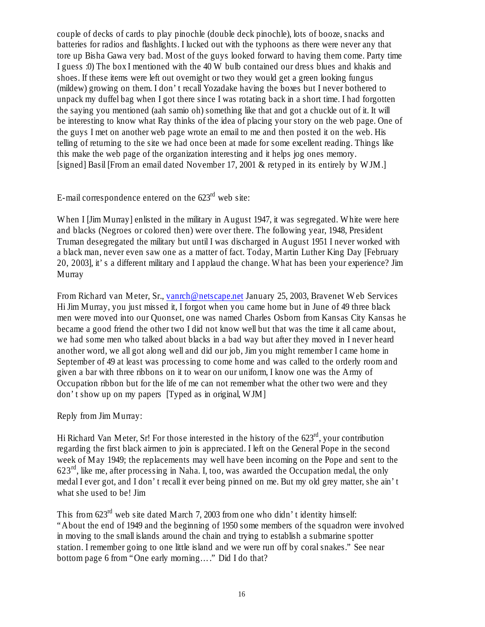couple of decks of cards to play pinochle (double deck pinochle), lots of booze, snacks and batteries for radios and flashlights. I lucked out with the typhoons as there were never any that tore up Bisha Gawa very bad. Most of the guys looked forward to having them come. Party time I guess :0) The box I mentioned with the 40 W bulb contained our dress blues and khakis and shoes. If these items were left out overnight or two they would get a green looking fungus (mildew) growing on them. I don't recall Yozadake having the boxes but I never bothered to unpack my duffel bag when I got there since I was rotating back in a short time. I had forgotten the saying you mentioned (aah samio oh) something like that and got a chuckle out of it. It will be interesting to know what Ray thinks of the idea of placing your story on the web page. One of the guys I met on another web page wrote an email to me and then posted it on the web. His telling of returning to the site we had once been at made for some excellent reading. Things like this make the web page of the organization interesting and it helps jog ones memory. [signed] Basil [From an email dated November 17, 2001 & retyped in its entirely by WJM.]

# E-mail correspondence entered on the  $623<sup>rd</sup>$  web site:

When I [Jim Murray] enlisted in the military in August 1947, it was segregated. White were here and blacks (Negroes or colored then) were over there. The following year, 1948, President Truman desegregated the military but until I was discharged in August 1951 I never worked with a black man, never even saw one as a matter of fact. Today, Martin Luther King Day [February 20, 2003], it's a different military and I applaud the change. What has been your experience? Jim **Murray** 

From Richard van Meter, Sr., vanrch@netscape.net January 25, 2003, Bravenet Web Services Hi Jim Murray, you just missed it, I forgot when you came home but in June of 49 three black men were moved into our Quonset, one was named Charles Osborn from Kansas City Kansas he became a good friend the other two I did not know well but that was the time it all came about, we had some men who talked about blacks in a bad way but after they moved in I never heard another word, we all got along well and did our job, Jim you might remember I came home in September of 49 at least was processing to come home and was called to the orderly room and given a bar with three ribbons on it to wear on our uniform, I know one was the Army of Occupation ribbon but for the life of me can not remember what the other two were and they don't show up on my papers [Typed as in original, WJM]

Reply from Jim Murray:

Hi Richard Van Meter, Sr! For those interested in the history of the  $623<sup>rd</sup>$ , your contribution regarding the first black airmen to join is appreciated. I left on the General Pope in the second week of May 1949; the replacements may well have been incoming on the Pope and sent to the  $623<sup>rd</sup>$ , like me, after processing in Naha. I, too, was awarded the Occupation medal, the only medal I ever got, and I don't recall it ever being pinned on me. But my old grey matter, she ain't what she used to be! Jim

This from 623rd web site dated March 7, 2003 from one who didn't identity himself: "About the end of 1949 and the beginning of 1950 some members of the squadron were involved in moving to the small islands around the chain and trying to establish a submarine spotter station. I remember going to one little island and we were run off by coral snakes." See near bottom page 6 from "One early morning… ." Did I do that?